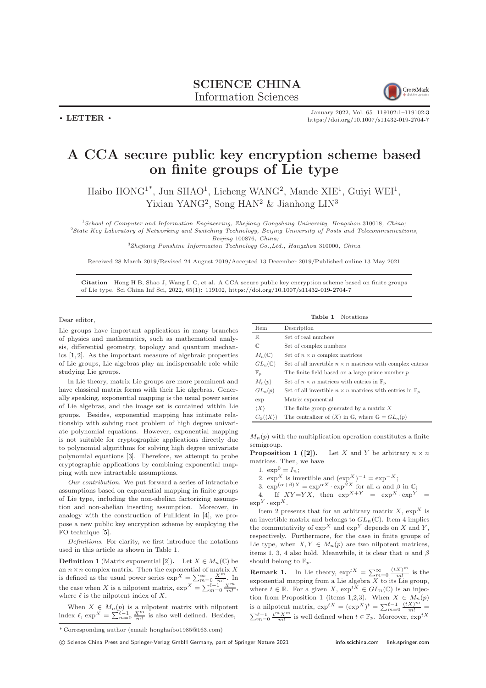$\cdot$  LETTER  $\cdot$ 



January 2022, Vol. 65 119102:1–119102[:3](#page-2-0) <https://doi.org/10.1007/s11432-019-2704-7>

## A CCA secure public key encryption scheme based on finite groups of Lie type

Haibo  $HONG^{1*}$ , Jun SHAO<sup>1</sup>, Licheng WANG<sup>2</sup>, Mande XIE<sup>1</sup>, Guiyi WEI<sup>1</sup>, Yixian YANG<sup>2</sup>, Song HAN<sup>2</sup> & Jianhong LIN<sup>3</sup>

<sup>1</sup>School of Computer and Information Engineering, Zhejiang Gongshang University, Hangzhou 310018, China;  $2$ State Key Laboratory of Networking and Switching Technology, Beijing University of Posts and Telecommunications,

Beijing 100876, China;

 ${}^{3}$ Zhejiang Ponshine Information Technology Co., Ltd., Hangzhou 310000, China

Received 28 March 2019/Revised 24 August 2019/Accepted 13 December 2019/Published online 13 May 2021

Citation Hong H B, Shao J, Wang L C, et al. A CCA secure public key encryption scheme based on finite groups of Lie type. Sci China Inf Sci, 2022, 65(1): 119102, <https://doi.org/10.1007/s11432-019-2704-7>

Dear editor,

Lie groups have important applications in many branches of physics and mathematics, such as mathematical analysis, differential geometry, topology and quantum mechanics [\[1,](#page-2-1) [2\]](#page-2-2). As the important measure of algebraic properties of Lie groups, Lie algebras play an indispensable role while studying Lie groups.

In Lie theory, matrix Lie groups are more prominent and have classical matrix forms with their Lie algebras. Generally speaking, exponential mapping is the usual power series of Lie algebras, and the image set is contained within Lie groups. Besides, exponential mapping has intimate relationship with solving root problem of high degree univariate polynomial equations. However, exponential mapping is not suitable for cryptographic applications directly due to polynomial algorithms for solving high degree univariate polynomial equations [\[3\]](#page-2-3). Therefore, we attempt to probe cryptographic applications by combining exponential mapping with new intractable assumptions.

Our contribution. We put forward a series of intractable assumptions based on exponential mapping in finite groups of Lie type, including the non-abelian factorizing assumption and non-abelian inserting assumption. Moreover, in analogy with the construction of FullIdent in [\[4\]](#page-2-4), we propose a new public key encryption scheme by employing the FO technique [\[5\]](#page-2-5).

Definitions. For clarity, we first introduce the notations used in this article as shown in Table 1.

**Definition 1** (Matrix exponential [\[2\]](#page-2-2)). Let  $X \in M_n(\mathbb{C})$  be an  $n \times n$  complex matrix. Then the exponential of matrix X is defined as the usual power series  $\exp^X = \sum_{m=0}^{\infty} \frac{X^m}{m!}$ . In the case when X is a nilpotent matrix,  $\exp^X = \sum_{m=0}^{M-1} \frac{X^m}{m!}$ , where  $\ell$  is the nilpotent index of X.

When  $X \in M_n(p)$  is a nilpotent matrix with nilpotent index  $\ell$ ,  $\exp^X = \sum_{m=0}^{\ell-1} \frac{X^m}{m!}$  is also well defined. Besides,

\* Corresponding author (email: honghaibo1985@163.com)

Table 1 Notations

| Item                | Description                                                                |
|---------------------|----------------------------------------------------------------------------|
| $\mathbb R$         | Set of real numbers                                                        |
| C                   | Set of complex numbers                                                     |
| $M_n(\mathbb{C})$   | Set of $n \times n$ complex matrices                                       |
| $GL_n(\mathbb{C})$  | Set of all invertible $n \times n$ matrices with complex entries           |
| $\mathbb{F}_p$      | The finite field based on a large prime number $p$                         |
| $M_n(p)$            | Set of $n \times n$ matrices with entries in $\mathbb{F}_n$                |
| $GL_n(p)$           | Set of all invertible $n \times n$ matrices with entries in $\mathbb{F}_p$ |
| exp                 | Matrix exponential                                                         |
| $\langle X \rangle$ | The finite group generated by a matrix $X$                                 |
| $C_{\mathbb{G}}$ (  | The centralizer of $\langle X \rangle$ in G, where $\mathbb{G} = GL_n(p)$  |
|                     |                                                                            |

 $M_n(p)$  with the multiplication operation constitutes a finite semigroup.

**Proposition 1 (2).** Let X and Y be arbitrary  $n \times n$ matrices. Then, we have

1.  $\exp^0 = I_n;$ 

2.  $\exp^X$  is invertible and  $(\exp^X)^{-1} = \exp^{-X};$ 

3.  $\exp^{(\alpha+\beta)X} = \exp^{\alpha X} \cdot \exp^{\beta X}$  for all  $\alpha$  and  $\beta$  in  $\mathbb{C}$ ; 4. If  $XY=YX$ , then  $\exp^{X+Y} = \exp^{X} \cdot \exp^{Y} =$  $\exp^Y \cdot \exp^X$ .

Item 2 presents that for an arbitrary matrix X,  $\exp^X$  is an invertible matrix and belongs to  $GL_n(\mathbb{C})$ . Item 4 implies the commutativity of  $\exp^X$  and  $\exp^Y$  depends on X and Y, respectively. Furthermore, for the case in finite groups of Lie type, when  $X, Y \in M_n(p)$  are two nilpotent matrices, items 1, 3, 4 also hold. Meanwhile, it is clear that  $\alpha$  and  $\beta$ should belong to  $\mathbb{F}_p$ .

**Remark 1.** In Lie theory,  $exp^{tX} = \sum_{m=0}^{\infty} \frac{(tX)^m}{m!}$  is the exponential mapping from a Lie algebra  $X$  to its Lie group, where  $t \in \mathbb{R}$ . For a given  $X$ ,  $\exp^{tX} \in GL_n(\mathbb{C})$  is an injection from Proposition 1 (items 1,2,3). When  $X \in M_n(p)$ is a nilpotent matrix,  $\exp^{tX} = (\exp^{X})^t = \sum_{m=0}^{\ell-1} \frac{(tX)^m}{m!} =$  $\sum_{m=0}^{\ell-1} \frac{t^m X^m}{m!}$  is well defined when  $t \in \mathbb{F}_p$ . Moreover,  $\exp^{tX}$ 

c Science China Press and Springer-Verlag GmbH Germany, part of Springer Nature 2021 <info.scichina.com><link.springer.com>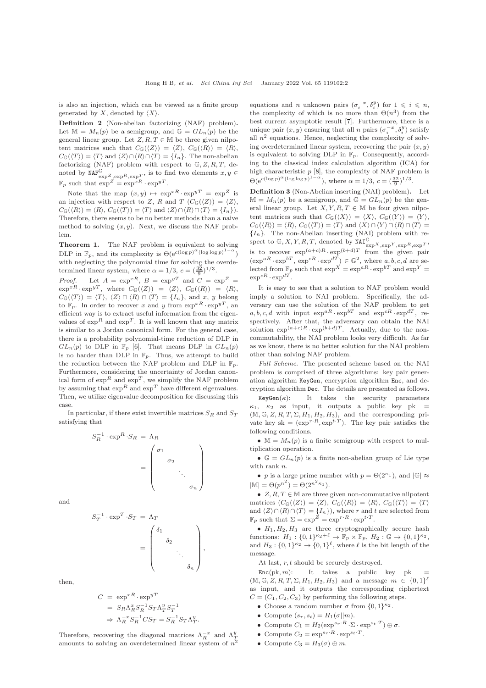is also an injection, which can be viewed as a finite group generated by X, denoted by  $\langle X \rangle$ .

Definition 2 (Non-abelian factorizing (NAF) problem). Let  $\mathbb{M} = M_n(p)$  be a semigroup, and  $\mathbb{G} = GL_n(p)$  be the general linear group. Let  $Z, R, T \in \mathbb{M}$  be three given nilpotent matrices such that  $C_{\mathbb{G}}(\langle Z \rangle) = \langle Z \rangle$ ,  $C_{\mathbb{G}}(\langle R \rangle) = \langle R \rangle$ ,  $C_{\mathbb{G}}(\langle T \rangle) = \langle T \rangle$  and  $\langle Z \rangle \cap \langle R \rangle \cap \langle T \rangle = \{I_n\}.$  The non-abelian factorizing (NAF) problem with respect to  $\mathbb{G}, Z, R, T$ , denoted by  $\text{NAF}_{\exp Z, \exp R, \exp T}^{\mathbb{G}}$ , is to find two elements  $x, y \in$  $\mathbb{F}_p$  such that  $\exp^Z = \exp^{xR} \cdot \exp^{yT}$ .

Note that the map  $(x, y) \mapsto \exp^{xR} \cdot \exp^{yT} = \exp^Z$  is an injection with respect to Z, R and T  $(C_{\mathbb{G}}(\langle Z \rangle) = \langle Z \rangle,$  $C_{\mathbb{G}}(\langle R \rangle) = \langle R \rangle$ ,  $C_{\mathbb{G}}(\langle T \rangle) = \langle T \rangle$  and  $\langle Z \rangle \cap \langle R \rangle \cap \langle T \rangle = \{I_n\}$ . Therefore, there seems to be no better methods than a naive method to solving  $(x, y)$ . Next, we discuss the NAF problem.

Theorem 1. The NAF problem is equivalent to solving DLP in  $\mathbb{F}_p$ , and its complexity is  $\Theta(\mathrm{e}^{c(\log p)^{\alpha}(\log \log p)^{1-\alpha}})$ ) with neglecting the polynomial time for solving the overdetermined linear system, where  $\alpha = 1/3$ ,  $c = (\frac{32}{9})^{1/3}$ .

*Proof.* Let  $A = \exp^{xR}$ ,  $B = \exp^{yT}$  and  $C = \exp^{Z}$  $\exp^{xR} \cdot \exp^{yT}$ , where  $C_{\mathbb{G}}(\langle Z \rangle) = \langle Z \rangle$ ,  $C_{\mathbb{G}}(\langle R \rangle) = \langle R \rangle$ ,  $C_{\mathbb{G}}(\langle T \rangle) = \langle T \rangle, \langle Z \rangle \cap \langle R \rangle \cap \langle T \rangle = \{I_n\}, \text{ and } x, y \text{ belong}$ to  $\mathbb{F}_p$ . In order to recover x and y from  $\exp^{xR} \cdot \exp^{yT}$ , an efficient way is to extract useful information from the eigenvalues of  $\exp^R$  and  $\exp^T.$  It is well known that any matrix is similar to a Jordan canonical form. For the general case, there is a probability polynomial-time reduction of DLP in  $GL_n(p)$  to DLP in  $\mathbb{F}_p$  [\[6\]](#page-2-6). That means DLP in  $GL_n(p)$ is no harder than DLP in  $\mathbb{F}_p$ . Thus, we attempt to build the reduction between the NAF problem and DLP in  $\mathbb{F}_p$ . Furthermore, considering the uncertainty of Jordan canonical form of  $\exp^R$  and  $\exp^T$ , we simplify the NAF problem by assuming that  $\exp^R$  and  $\exp^T$  have different eigenvalues. Then, we utilize eigenvalue decomposition for discussing this case.

In particular, if there exist invertible matrices  $S_R$  and  $S_T$ satisfying that

$$
S_R^{-1} \cdot \exp^R \cdot S_R = \Lambda_R
$$

$$
= \begin{pmatrix} \sigma_1 \\ \sigma_2 \\ \cdot \\ \cdot \\ \sigma_n \end{pmatrix}
$$

 $\setminus$ 

 $\begin{array}{c} \hline \end{array}$ 

,

.

and

$$
S_T^{-1} \cdot \exp^T \cdot S_T = \Lambda_T
$$

$$
= \begin{pmatrix} \delta_1 & & & \\ & \delta_2 & & \\ & & \ddots & \\ & & & \delta_n \end{pmatrix}
$$

then,

$$
C = \exp^{xR} \cdot \exp^{yT}
$$
  
=  $S_R \Lambda_R^x S_R^{-1} S_T \Lambda_T^y S_T^{-1}$   
 $\Rightarrow \Lambda_R^{-x} S_R^{-1} C S_T = S_R^{-1} S_T \Lambda_T^y$ 

Therefore, recovering the diagonal matrices  $\Lambda_R^{-x}$  and  $\Lambda_T^y$ amounts to solving an overdetermined linear system of  $n^2$ 

equations and n unknown pairs  $(\sigma_i^{-x}, \delta_i^y)$  for  $1 \leq i \leq n$ , the complexity of which is no more than  $\Theta(n^3)$  from the best current asymptotic result [\[7\]](#page-2-7). Furthermore, there is a unique pair  $(x, y)$  ensuring that all *n* pairs  $(\sigma_i^{-x}, \delta_i^y)$  satisfy all  $n^2$  equations. Hence, neglecting the complexity of solving overdetermined linear system, recovering the pair  $(x, y)$ is equivalent to solving DLP in  $\mathbb{F}_p$ . Consequently, according to the classical index calculation algorithm (ICA) for high characteristic  $p$  [\[8\]](#page-2-8), the complexity of NAF problem is  $\Theta(e^{c(\log p)^{\alpha}(\log \log p)^{1-\alpha}})$ , where  $\alpha = 1/3$ ,  $c = (\frac{32}{9})^{1/3}$ .

Definition 3 (Non-Abelian inserting (NAI) problem). Let  $\mathbb{M} = M_n(p)$  be a semigroup, and  $\mathbb{G} = GL_n(p)$  be the general linear group. Let  $X, Y, R, T \in \mathbb{M}$  be four given nilpotent matrices such that  $C_{\mathbb{G}}(\langle X \rangle) = \langle X \rangle$ ,  $C_{\mathbb{G}}(\langle Y \rangle) = \langle Y \rangle$ ,  $C_{\mathbb{G}}(\langle R \rangle) = \langle R \rangle$ ,  $C_{\mathbb{G}}(\langle T \rangle) = \langle T \rangle$  and  $\langle X \rangle \cap \langle Y \rangle \cap \langle R \rangle \cap \langle T \rangle =$  ${I_n}$ . The non-Abelian inserting (NAI) problem with respect to  $\mathbb{G}, X, Y, R, T$ , denoted by  $\text{MAT}_{\text{exp}X, \text{exp}Y, \text{exp}R, \text{exp}T}$ , is to recover  $\exp^{(a+c)R} \cdot \exp^{(b+d)T}$  from the given pair  $(\exp^{aR} \cdot \exp^{bT}, \exp^{cR} \cdot \exp^{dT}) \in \mathbb{G}^2$ , where a, b, c, d are selected from  $\mathbb{F}_p$  such that  $\exp^X = \exp^{aR} \cdot \exp^{bT}$  and  $\exp^Y =$  $\exp^{cR} \cdot \exp^{dT}$ .

It is easy to see that a solution to NAF problem would imply a solution to NAI problem. Specifically, the adversary can use the solution of the NAF problem to get  $a, b, c, d$  with input  $\exp^{aR} \cdot \exp^{bT}$  and  $\exp^{cR} \cdot \exp^{dT}$ , respectively. After that, the adversary can obtain the NAI solution  $\exp^{(a+c)R} \cdot \exp^{(b+d)T}$ . Actually, due to the noncommutability, the NAI problem looks very difficult. As far as we know, there is no better solution for the NAI problem other than solving NAF problem.

Full Scheme. The presented scheme based on the NAI problem is comprised of three algorithms: key pair generation algorithm KeyGen, encryption algorithm Enc, and decryption algorithm Dec. The details are presented as follows.

 $KeyGen(\kappa):$  It takes the security parameters  $\kappa_1$ ,  $\kappa_2$  as input, it outputs a public key pk =  $(M, \mathbb{G}, Z, R, T, \Sigma, H_1, H_2, H_3)$ , and the corresponding private key sk =  $(\exp^{r \cdot R}, \exp^{t \cdot T})$ . The key pair satisfies the following conditions.

•  $\mathbb{M} = M_n(p)$  is a finite semigroup with respect to multiplication operation.

•  $\mathbb{G} = GL_n(p)$  is a finite non-abelian group of Lie type with rank *n*.

• p is a large prime number with  $p = \Theta(2^{\kappa_1})$ , and  $|\mathbb{G}| \approx$  $|\mathbb{M}| = \Theta(p^{n^2}) = \Theta(2^{n^2 \kappa_1}).$ 

•  $Z, R, T \in \mathbb{M}$  are three given non-commutative nilpotent matrices  $(C_G(\langle Z \rangle) = \langle Z \rangle, C_G(\langle R \rangle) = \langle R \rangle, C_G(\langle T \rangle) = \langle T \rangle$ and  $\langle Z \rangle \cap \langle R \rangle \cap \langle T \rangle = \{I_n\}$ , where r and t are selected from  $\mathbb{F}_p$  such that  $\Sigma = \exp^Z = \exp^{r \cdot R} \cdot \exp^{t \cdot T}$ .

•  $H_1, H_2, H_3$  are three cryptographically secure hash functions:  $H_1: \{0,1\}^{\kappa_2+\ell} \to \mathbb{F}_p \times \mathbb{F}_p, H_2: \mathbb{G} \to \{0,1\}^{\kappa_2},$ and  $H_3: \{0,1\}^{\kappa_2} \to \{0,1\}^{\ell}$ , where  $\ell$  is the bit length of the message.

At last,  $r, t$  should be securely destroyed.

 $Enc(\mathrm{pk}, m):$  It takes a public key pk =  $(M, \mathbb{G}, Z, R, T, \Sigma, H_1, H_2, H_3)$  and a message  $m \in \{0,1\}^{\ell}$ as input, and it outputs the corresponding ciphertext  $C = (C_1, C_2, C_3)$  by performing the following steps.

- Choose a random number  $\sigma$  from  $\{0,1\}^{\kappa_2}$ .
- Compute  $(s_r, s_t) = H_1(\sigma || m)$ .
- Compute  $C_1 = H_2(\exp^{s_r \cdot R} \cdot \Sigma \cdot \exp^{s_t \cdot T}) \oplus \sigma$ .
- Compute  $C_2 = \exp^{s_r \cdot R} \cdot \exp^{s_t \cdot T}$ .
- Compute  $C_3 = H_3(\sigma) \oplus m$ .